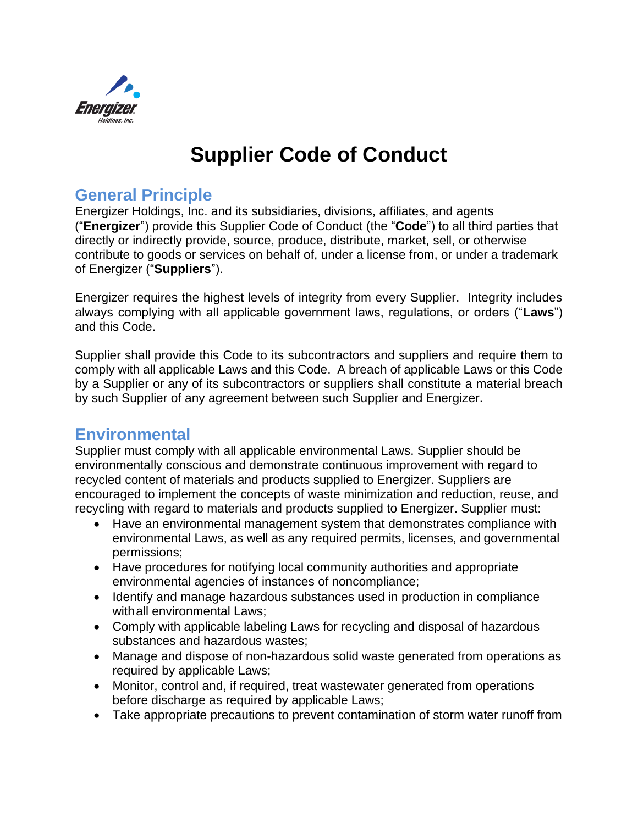

# **Supplier Code of Conduct**

#### **General Principle**

Energizer Holdings, Inc. and its subsidiaries, divisions, affiliates, and agents ("**Energizer**") provide this Supplier Code of Conduct (the "**Code**") to all third parties that directly or indirectly provide, source, produce, distribute, market, sell, or otherwise contribute to goods or services on behalf of, under a license from, or under a trademark of Energizer ("**Suppliers**").

Energizer requires the highest levels of integrity from every Supplier. Integrity includes always complying with all applicable government laws, regulations, or orders ("**Laws**") and this Code.

Supplier shall provide this Code to its subcontractors and suppliers and require them to comply with all applicable Laws and this Code. A breach of applicable Laws or this Code by a Supplier or any of its subcontractors or suppliers shall constitute a material breach by such Supplier of any agreement between such Supplier and Energizer.

#### **Environmental**

Supplier must comply with all applicable environmental Laws. Supplier should be environmentally conscious and demonstrate continuous improvement with regard to recycled content of materials and products supplied to Energizer. Suppliers are encouraged to implement the concepts of waste minimization and reduction, reuse, and recycling with regard to materials and products supplied to Energizer. Supplier must:

- Have an environmental management system that demonstrates compliance with environmental Laws, as well as any required permits, licenses, and governmental permissions;
- Have procedures for notifying local community authorities and appropriate environmental agencies of instances of noncompliance;
- Identify and manage hazardous substances used in production in compliance withall environmental Laws;
- Comply with applicable labeling Laws for recycling and disposal of hazardous substances and hazardous wastes;
- Manage and dispose of non-hazardous solid waste generated from operations as required by applicable Laws;
- Monitor, control and, if required, treat wastewater generated from operations before discharge as required by applicable Laws;
- Take appropriate precautions to prevent contamination of storm water runoff from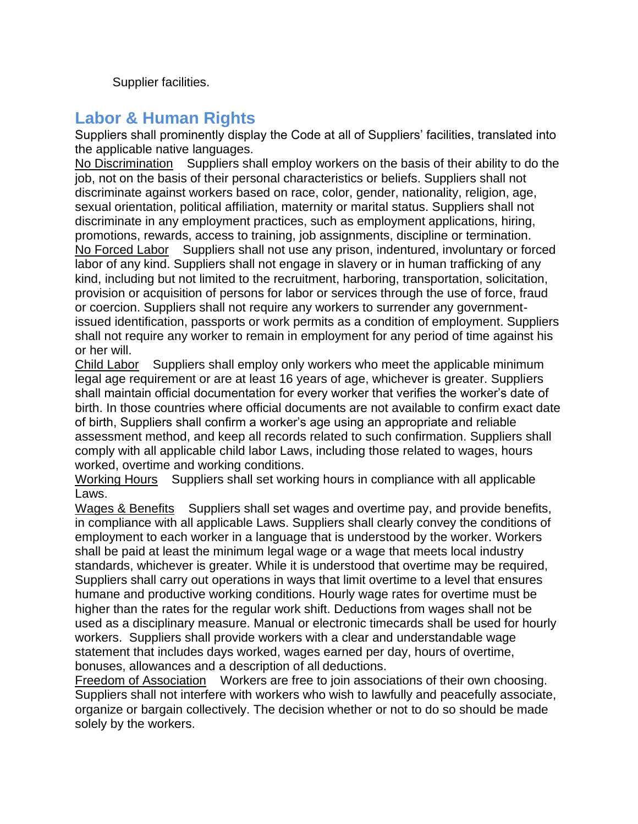Supplier facilities.

## **Labor & Human Rights**

Suppliers shall prominently display the Code at all of Suppliers' facilities, translated into the applicable native languages.

No Discrimination Suppliers shall employ workers on the basis of their ability to do the job, not on the basis of their personal characteristics or beliefs. Suppliers shall not discriminate against workers based on race, color, gender, nationality, religion, age, sexual orientation, political affiliation, maternity or marital status. Suppliers shall not discriminate in any employment practices, such as employment applications, hiring, promotions, rewards, access to training, job assignments, discipline or termination. No Forced Labor Suppliers shall not use any prison, indentured, involuntary or forced labor of any kind. Suppliers shall not engage in slavery or in human trafficking of any kind, including but not limited to the recruitment, harboring, transportation, solicitation, provision or acquisition of persons for labor or services through the use of force, fraud or coercion. Suppliers shall not require any workers to surrender any governmentissued identification, passports or work permits as a condition of employment. Suppliers shall not require any worker to remain in employment for any period of time against his or her will.

Child Labor Suppliers shall employ only workers who meet the applicable minimum legal age requirement or are at least 16 years of age, whichever is greater. Suppliers shall maintain official documentation for every worker that verifies the worker's date of birth. In those countries where official documents are not available to confirm exact date of birth, Suppliers shall confirm a worker's age using an appropriate and reliable assessment method, and keep all records related to such confirmation. Suppliers shall comply with all applicable child labor Laws, including those related to wages, hours worked, overtime and working conditions.

Working Hours Suppliers shall set working hours in compliance with all applicable Laws.

Wages & Benefits Suppliers shall set wages and overtime pay, and provide benefits, in compliance with all applicable Laws. Suppliers shall clearly convey the conditions of employment to each worker in a language that is understood by the worker. Workers shall be paid at least the minimum legal wage or a wage that meets local industry standards, whichever is greater. While it is understood that overtime may be required, Suppliers shall carry out operations in ways that limit overtime to a level that ensures humane and productive working conditions. Hourly wage rates for overtime must be higher than the rates for the regular work shift. Deductions from wages shall not be used as a disciplinary measure. Manual or electronic timecards shall be used for hourly workers. Suppliers shall provide workers with a clear and understandable wage statement that includes days worked, wages earned per day, hours of overtime, bonuses, allowances and a description of all deductions.

Freedom of Association Workers are free to join associations of their own choosing. Suppliers shall not interfere with workers who wish to lawfully and peacefully associate, organize or bargain collectively. The decision whether or not to do so should be made solely by the workers.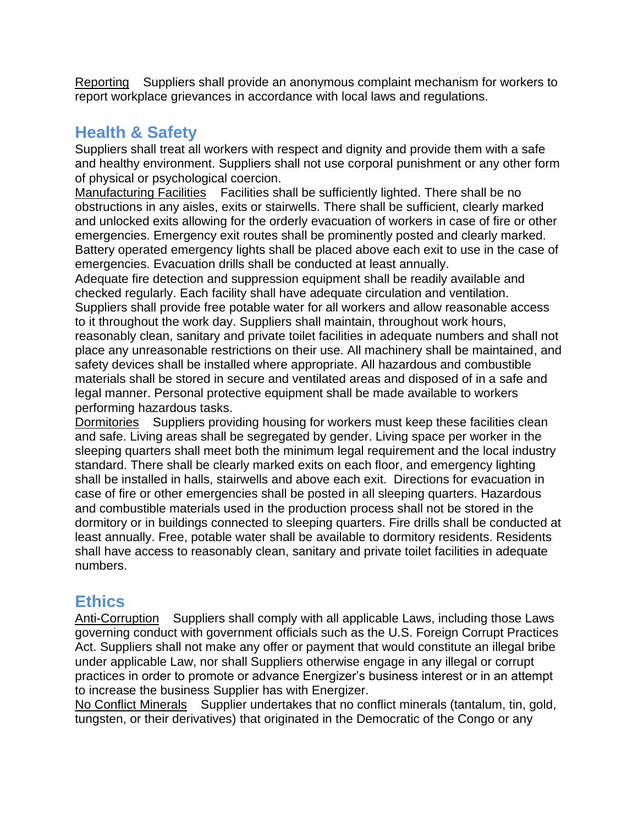Reporting Suppliers shall provide an anonymous complaint mechanism for workers to report workplace grievances in accordance with local laws and regulations.

## **Health & Safety**

Suppliers shall treat all workers with respect and dignity and provide them with a safe and healthy environment. Suppliers shall not use corporal punishment or any other form of physical or psychological coercion.

Manufacturing Facilities Facilities shall be sufficiently lighted. There shall be no obstructions in any aisles, exits or stairwells. There shall be sufficient, clearly marked and unlocked exits allowing for the orderly evacuation of workers in case of fire or other emergencies. Emergency exit routes shall be prominently posted and clearly marked. Battery operated emergency lights shall be placed above each exit to use in the case of emergencies. Evacuation drills shall be conducted at least annually.

Adequate fire detection and suppression equipment shall be readily available and checked regularly. Each facility shall have adequate circulation and ventilation. Suppliers shall provide free potable water for all workers and allow reasonable access to it throughout the work day. Suppliers shall maintain, throughout work hours, reasonably clean, sanitary and private toilet facilities in adequate numbers and shall not place any unreasonable restrictions on their use. All machinery shall be maintained, and safety devices shall be installed where appropriate. All hazardous and combustible materials shall be stored in secure and ventilated areas and disposed of in a safe and legal manner. Personal protective equipment shall be made available to workers performing hazardous tasks.

Dormitories Suppliers providing housing for workers must keep these facilities clean and safe. Living areas shall be segregated by gender. Living space per worker in the sleeping quarters shall meet both the minimum legal requirement and the local industry standard. There shall be clearly marked exits on each floor, and emergency lighting shall be installed in halls, stairwells and above each exit. Directions for evacuation in case of fire or other emergencies shall be posted in all sleeping quarters. Hazardous and combustible materials used in the production process shall not be stored in the dormitory or in buildings connected to sleeping quarters. Fire drills shall be conducted at least annually. Free, potable water shall be available to dormitory residents. Residents shall have access to reasonably clean, sanitary and private toilet facilities in adequate numbers.

#### **Ethics**

Anti-Corruption Suppliers shall comply with all applicable Laws, including those Laws governing conduct with government officials such as the U.S. Foreign Corrupt Practices Act. Suppliers shall not make any offer or payment that would constitute an illegal bribe under applicable Law, nor shall Suppliers otherwise engage in any illegal or corrupt practices in order to promote or advance Energizer's business interest or in an attempt to increase the business Supplier has with Energizer.

No Conflict Minerals Supplier undertakes that no conflict minerals (tantalum, tin, gold, tungsten, or their derivatives) that originated in the Democratic of the Congo or any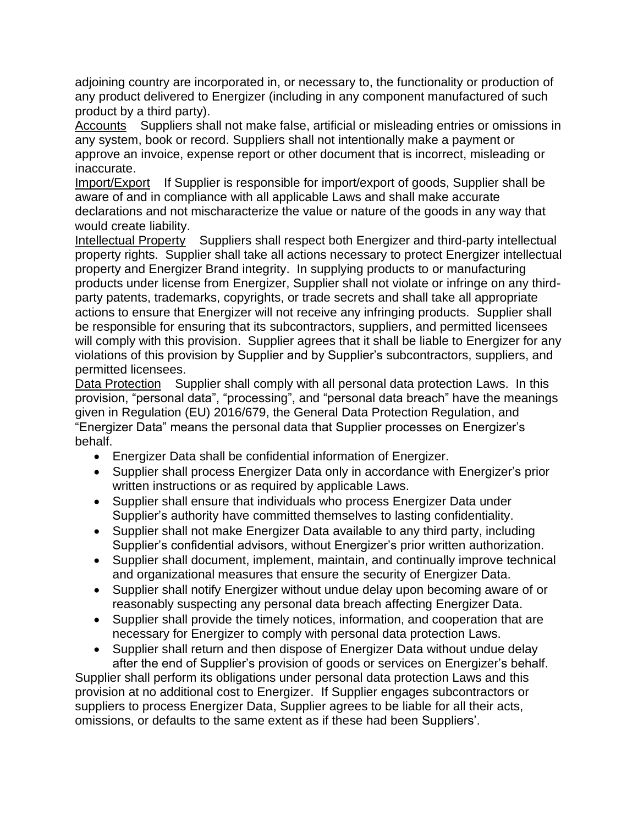adjoining country are incorporated in, or necessary to, the functionality or production of any product delivered to Energizer (including in any component manufactured of such product by a third party).

Accounts Suppliers shall not make false, artificial or misleading entries or omissions in any system, book or record. Suppliers shall not intentionally make a payment or approve an invoice, expense report or other document that is incorrect, misleading or inaccurate.

Import/Export If Supplier is responsible for import/export of goods, Supplier shall be aware of and in compliance with all applicable Laws and shall make accurate declarations and not mischaracterize the value or nature of the goods in any way that would create liability.

Intellectual Property Suppliers shall respect both Energizer and third-party intellectual property rights. Supplier shall take all actions necessary to protect Energizer intellectual property and Energizer Brand integrity. In supplying products to or manufacturing products under license from Energizer, Supplier shall not violate or infringe on any thirdparty patents, trademarks, copyrights, or trade secrets and shall take all appropriate actions to ensure that Energizer will not receive any infringing products. Supplier shall be responsible for ensuring that its subcontractors, suppliers, and permitted licensees will comply with this provision. Supplier agrees that it shall be liable to Energizer for any violations of this provision by Supplier and by Supplier's subcontractors, suppliers, and permitted licensees.

Data Protection Supplier shall comply with all personal data protection Laws. In this provision, "personal data", "processing", and "personal data breach" have the meanings given in Regulation (EU) 2016/679, the General Data Protection Regulation, and "Energizer Data" means the personal data that Supplier processes on Energizer's behalf.

- Energizer Data shall be confidential information of Energizer.
- Supplier shall process Energizer Data only in accordance with Energizer's prior written instructions or as required by applicable Laws.
- Supplier shall ensure that individuals who process Energizer Data under Supplier's authority have committed themselves to lasting confidentiality.
- Supplier shall not make Energizer Data available to any third party, including Supplier's confidential advisors, without Energizer's prior written authorization.
- Supplier shall document, implement, maintain, and continually improve technical and organizational measures that ensure the security of Energizer Data.
- Supplier shall notify Energizer without undue delay upon becoming aware of or reasonably suspecting any personal data breach affecting Energizer Data.
- Supplier shall provide the timely notices, information, and cooperation that are necessary for Energizer to comply with personal data protection Laws.
- Supplier shall return and then dispose of Energizer Data without undue delay after the end of Supplier's provision of goods or services on Energizer's behalf.

Supplier shall perform its obligations under personal data protection Laws and this provision at no additional cost to Energizer. If Supplier engages subcontractors or suppliers to process Energizer Data, Supplier agrees to be liable for all their acts, omissions, or defaults to the same extent as if these had been Suppliers'.